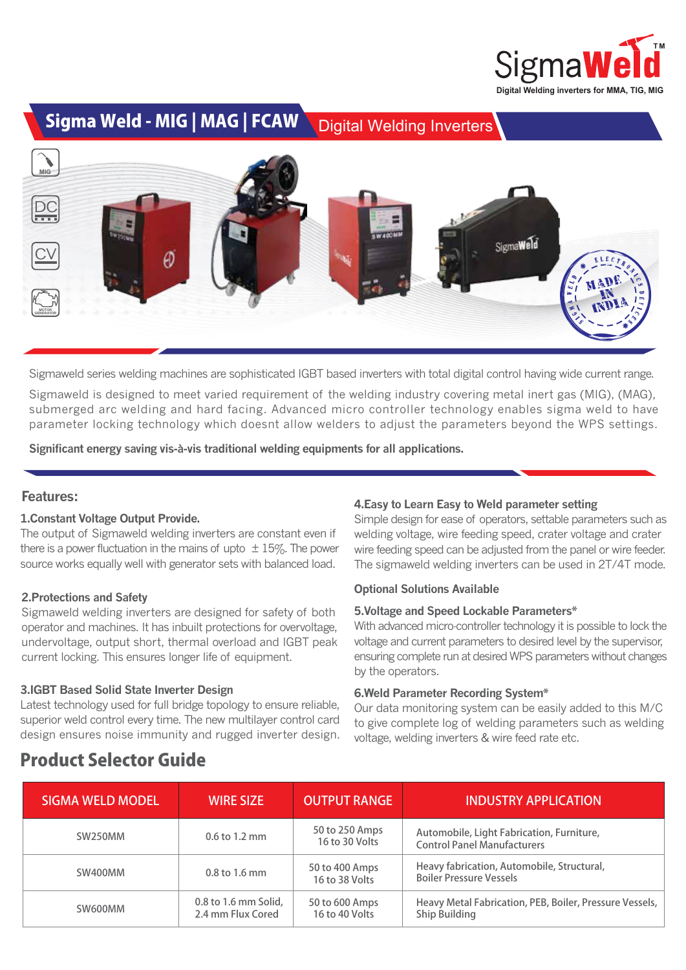

Sigma Weld - MIG | MAG | FCAW Digital Welding Inverters



Sigmaweld series welding machines are sophisticated IGBT based inverters with total digital control having wide current range.

Sigmaweld is designed to meet varied requirement of the welding industry covering metal inert gas (MIG), (MAG), submerged arc welding and hard facing. Advanced micro controller technology enables sigma weld to have parameter locking technology which doesnt allow welders to adjust the parameters beyond the WPS settings.

**Significant energy saving vis-à-vis traditional welding equipments for all applications.** 

## **Features:**

## **1.Constant Voltage Output Provide.**

The output of Sigmaweld welding inverters are constant even if<br>there is a power fluctuation in the mains of upto  $\pm$  15%. The power<br>course werks equally well with conserver sets with belanced load there is a power fluctuation in the mains of upto  $\pm 15$ %. The power source works equally well with generator sets with balanced load.

## **2.Protections and Safety**

Sigmaweld welding inverters are designed for safety of both operator and machines. It has inbuilt protections for overvoltage, undervoltage, output short, thermal overload and IGBT peak current locking. This ensures longer life of equipment.

## **3.IGBT Based Solid State Inverter Design**

Latest technology used for full bridge topology to ensure reliable, superior weld control every time. The new multilayer control card design ensures noise immunity and rugged inverter design.

## **4.Easy to Learn Easy to Weld parameter setting**

Simple design for ease of operators, settable parameters such as welding voltage, wire feeding speed, crater voltage and crater wire feeding speed can be adjusted from the panel or wire feeder. The sigmaweld welding inverters can be used in 2T/4T mode.

## **Optional Solutions Available**

### **5.Voltage and Speed Lockable Parameters\***

With advanced micro-controller technology it is possible to lock the voltage and current parameters to desired level by the supervisor, ensuring complete run at desired WPS parameters without changes by the operators.

### **6.Weld Parameter Recording System\***

Our data monitoring system can be easily added to this M/C to give complete log of welding parameters such as welding voltage, welding inverters & wire feed rate etc.

# Product Selector Guide

| <b>SIGMA WELD MODEL</b> | <b>WIRE SIZE</b>                          | <b>OUTPUT RANGE</b>              | <b>INDUSTRY APPLICATION</b>                                                       |
|-------------------------|-------------------------------------------|----------------------------------|-----------------------------------------------------------------------------------|
| SW250MM                 | $0.6$ to 1.2 mm                           | 50 to 250 Amps<br>16 to 30 Volts | Automobile, Light Fabrication, Furniture,<br><b>Control Panel Manufacturers</b>   |
| SW400MM                 | 0.8 to 1.6 mm                             | 50 to 400 Amps<br>16 to 38 Volts | Heavy fabrication, Automobile, Structural,<br><b>Boiler Pressure Vessels</b>      |
| SW600MM                 | 0.8 to 1.6 mm Solid,<br>2.4 mm Flux Cored | 50 to 600 Amps<br>16 to 40 Volts | Heavy Metal Fabrication, PEB, Boiler, Pressure Vessels,  <br><b>Ship Building</b> |